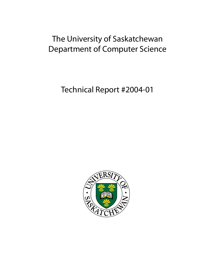# The University of Saskatchewan Department of Computer Science

Technical Report #2004-01

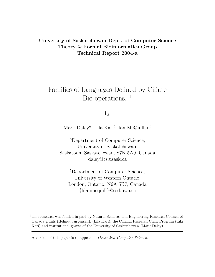### University of Saskatchewan Dept. of Computer Science Theory & Formal Bioinformatics Group Technical Report 2004-a

## Families of Languages Defined by Ciliate Bio-operations.<sup>1</sup>

by

Mark Daley<sup>a</sup>, Lila Kari<sup>b</sup>, Ian McQuillan<sup>b</sup>

<sup>a</sup>Department of Computer Science, University of Saskatchewan, Saskatoon, Saskatchewan, S7N 5A9, Canada daley@cs.usask.ca

<sup>b</sup>Department of Computer Science, University of Western Ontario, London, Ontario, N6A 5B7, Canada {lila,imcquill}@csd.uwo.ca

<sup>1</sup>This research was funded in part by Natural Sciences and Engineering Research Council of Canada grants (Helmut Jürgensen), (Lila Kari), the Canada Research Chair Program (Lila Kari) and institutional grants of the University of Saskatchewan (Mark Daley).

A version of this paper is to appear in Theoretical Computer Science.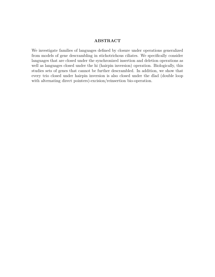#### ABSTRACT

We investigate families of languages defined by closure under operations generalized from models of gene descrambling in stichotrichous ciliates. We specifically consider languages that are closed under the synchronized insertion and deletion operations as well as languages closed under the hi (hairpin inversion) operation. Biologically, this studies sets of genes that cannot be further descrambled. In addition, we show that every trio closed under hairpin inversion is also closed under the dlad (double loop with alternating direct pointers)-excision/reinsertion bio-operation.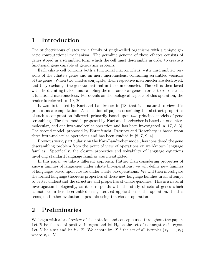#### 1 Introduction

The stichotrichous ciliates are a family of single-celled organisms with a unique genetic computational mechanism. The germline genome of these ciliates consists of genes stored in a scrambled form which the cell must descramble in order to create a functional gene capable of generating proteins.

Each ciliate cell contains both a functional macronucleus, with unscrambled versions of the ciliate's genes and an inert micronucleus, containing scrambled versions of the genes. When two ciliates conjugate, their respective macronuclei are destroyed, and they exchange the genetic material in their micronuclei. The cell is then faced with the daunting task of unscrambling the micronuclear genes in order to re-construct a functional macronucleus. For details on the biological aspects of this operation, the reader is referred to [19, 20].

It was first noted by Kari and Landweber in [18] that it is natural to view this process as a computation. A collection of papers describing the abstract properties of such a computation followed, primarily based upon two principal models of gene scrambling. The first model, proposed by Kari and Landweber is based on one intermolecular, and one intra-molecular operation and has been investigated in [17, 5, 3]. The second model, proposed by Ehrenfeucht, Prescott and Rozenberg is based upon three intra-molecular operations and has been studied in [8, 7, 9, 4].

Previous work, particularly on the Kari-Landweber model, has considered the gene descrambling problem from the point of view of operations on well-known language families. Specifically, the closure properties and solvability of language equations involving standard language families was investigated.

In this paper we take a different approach. Rather than considering properties of known families of languages under ciliate bio-operations, we will define new families of languages based upon closure under ciliate bio-operations. We will then investigate the formal language theoretic properties of these new language families in an attempt to better understand the structure and properties of ciliate genomes. This is a natural investigation biologically, as it corresponds with the study of sets of genes which cannot be further descrambled using iterated application of the operation. In this sense, no further evolution is possible using the chosen operation.

## 2 Preliminaries

We begin with a brief review of the notation and concepts used throughout the paper. Let  $\mathbb N$  be the set of positive integers and let  $\mathbb N_0$  be the set of nonnegative integers. Let X be a set and let  $k \in \mathbb{N}$ . We denote by  $[X]^k$  the set of all k-tuples  $(x_1, \ldots, x_k)$ where  $x_i \in X$ .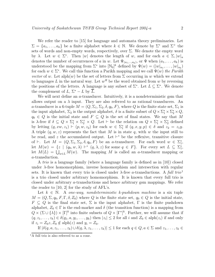We refer the reader to [15] for language and automata theory preliminaries. Let  $\Sigma = \{a_1, \ldots, a_k\}$  be a finite alphabet where  $k \in \mathbb{N}$ . We denote by  $\Sigma^*$  and  $\Sigma^+$  the sets of words and non-empty words, respectively, over  $\Sigma$ . We denote the empty word by  $\lambda$ . Let  $w \in \Sigma^*$ . Then |w| denotes the length of w, and for each  $a \in \Sigma, |w|_a$ denotes the number of occurrences of a in w. Let  $\Psi_{(a_1,...,a_k)}$ , or  $\Psi$  when  $(a_1,...,a_k)$  is understood be the mapping from  $\Sigma^*$  into  $[\mathbb{N}_0]^k$  defined by  $\Psi(w) = (|w|_{a_1}, \ldots, |w|_{a_k})$ for each  $w \in \Sigma^*$ . We call this function a Parikh mapping and we call  $\Psi(w)$  the Parikh vector of w. Let  $\text{alph}(w)$  be the set of letters from  $\Sigma$  occurring in w which we extend to languages L in the natural way. Let  $w<sup>R</sup>$  be the word obtained from w by reversing the positions of the letters. A language is any subset of  $\Sigma^*$ . Let  $L \subseteq \Sigma^*$ . We denote the complement of  $L, \Sigma^* - L$  by  $\overline{L}.$ 

We will next define an  $a$ -transducer. Intuitively, it is a nondeterministic gsm that allows output on a  $\lambda$  input. They are also referred to as rational transducers. An a-transducer is a 6-tuple  $M = (Q, \Sigma_1, \Sigma_2, \delta, q_0, F)$ , where Q is the finite state set,  $\Sigma_1$  is the input alphabet,  $\Sigma_2$  is the output alphabet,  $\delta$  is a finite subset of  $Q \times \Sigma_1^* \times \Sigma_2^* \times Q$ ,  $q_0 \in Q$  is the initial state and  $F \subseteq Q$  is the set of final states. We say that M is  $\lambda$ -free if  $\delta \subseteq Q \times \Sigma_1^* \times \Sigma_2^+ \times Q$ . Let  $\vdash$  be the relation on  $Q \times \Sigma_1^* \times \Sigma_2^*$  defined by letting  $(q, xw, z_1) \vdash (p, w, z_2)$  for each  $w \in \Sigma_1^*$  $i_1^*$  if  $(q, x, y, p) \in \delta$  and  $z_2 = z_1 y$ . A triple  $(q, w, z)$  represents the fact that M is in state q, with w the input still to be read, and z the accumulated output. Let  $\vdash^*$  be the reflexive, transitive closure of  $\vdash$ . Let  $M = (Q, \Sigma_1, \Sigma_2, \delta, q_0, F)$  be an a-transducer. For each word  $w \in \Sigma_1^*$  $_{1}^{\ast}$ let  $M(w) = \{ z \mid (q_0, w, \lambda) \vdash^* (q, \lambda, z) \text{ for some } q \in F \}.$  For every set  $L \subseteq \Sigma_1^*$  $_{1}^{\ast}$ let  $M(L) = \bigcup_{w \in L} M(w)$ . The mapping M is called an a-transducer mapping or a-transduction.

A trio is a language family (where a language family is defined as in [10]) closed under  $\lambda$ -free homomorphism, inverse homomorphism and intersection with regular sets. It is known that every trio is closed under  $\lambda$ -free a-transductions. A full trio<sup>1</sup> is a trio closed under arbitrary homomorphism. It is known that every full trio is closed under arbitrary a-transductions and hence arbitrary gsm mappings. We refer the reader to [10, 2] for the study of AFL's.

Let  $k \in \mathbb{N}$ . A one-way, nondeterministic k-pushdown machine is a six tuple  $M = (Q, \Sigma, q_0, F, \Gamma, \delta, Z_0)$  where Q is the finite state set,  $q_0 \in Q$  is the initial state,  $F \subseteq Q$  is the final state set,  $\Sigma$  is the input alphabet,  $\Gamma$  is the finite pushdown alphabet,  $Z_0 \in \Gamma$  is the end-marker and  $\delta$  (the transition function) is a mapping from  $Q \times (\Sigma \cup \{\lambda\}) \times [\Gamma]^k$  into finite subsets of  $Q \times [\Gamma^*]^k$ . Further, we will assume that if  $(q, z_1, \ldots, z_k) \in \delta(q_1, a, y_1, \ldots, y_k)$  then  $|z_i| \leq 2$  for all i and  $Z_0 \in \text{alph}(z_i)$  if and only if  $z_i = Z_0z, Z_0 \notin \text{alph}(z)$  and  $y_i = Z_0$ .

If  $|\delta(q, a, z_1, \ldots, z_k) \cup \delta(q, \lambda, z_1, \ldots, z_k)| \leq 1$  for each  $q \in Q, a \in \Sigma$  and  $z_1, \ldots, z_k \in$ 

 $1A$  full trio is also referred to as a cone.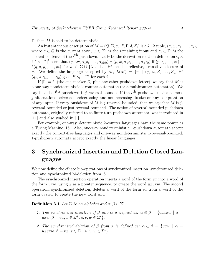Γ, then  $M$  is said to be deterministic.

An instantaneous description of  $M = (Q, \Sigma, q_0, F, \Gamma, \delta, Z_0)$  is a  $k+2$  tuple,  $(q, w, \gamma_1, \ldots, \gamma_k)$ , where  $q \in Q$  is the current state,  $w \in \Sigma^*$  is the remaining input and  $\gamma_i \in \Gamma^*$  is the current contents of the  $i^{\text{th}}$  pushdown. Let  $\vdash$  be the derivation relation defined on  $Q \times$  $\Sigma^* \times [\Gamma^*]^k$  such that  $(q, aw, \alpha_1y_1, \ldots, \alpha_ky_k) \vdash (p, w, \alpha_1z_1, \ldots, \alpha_kz_k)$  if  $(p, z_1, \ldots, z_k) \in$  $\delta(q, a, y_1, \ldots, y_k)$  for  $a \in \Sigma \cup \{\lambda\}$ . Let  $\vdash^*$  be the reflexive, transitive closure of  $\vdash$ . We define the language accepted by M,  $L(M) = \{w \mid (q_0, w, Z_0, \ldots, Z_0) \vdash^*$  $(q_f, \lambda, \gamma_1, \ldots, \gamma_k), q_f \in F, \gamma_i \in \Gamma^*$  for each  $i$ .

If  $|\Gamma| = 2$ , (the end-marker  $Z_0$  plus one other pushdown letter), we say that M is a one-way nondeterministic k-counter automaton (or a multicounter automaton). We say that the  $i^{\text{th}}$  pushdown is j-reversal-bounded if the  $i^{\text{th}}$  pushdown makes at most  $j$  alternations between nondecreasing and nonincreasing its size on any computation of any input. If every pushdown of M is j-reversal-bounded, then we say that M is jreversal-bounded or just reversal-bounded. The notion of reversal-bounded pushdown automata, originally referred to as finite turn pushdown automata, was introduced in [11] and also studied in [1].

For example, one-way, deterministic 2-counter languages have the same power as a Turing Machine [15]. Also, one-way nondeterministic 1-pushdown automata accept exactly the context-free languages and one-way nondeterministic 1-reversal-bounded, 1-pushdown automata accept exactly the linear languages.

## 3 Synchronized Insertion and Deletion Closed Languages

We now define the ciliate bio-operations of synchronized insertion, synchronized deletion and synchronized bi-deletion from [5].

The synchronized insertion operation inserts a word of the form  $vx$  into a word of the form  $uxw$ , using x as a pointer sequence, to create the word  $uxv xw$ . The second operation, synchronized deletion, deletes a word of the form  $vx$  from a word of the form  $uxv xw$  to create the new word  $uxw$ .

**Definition 3.1** Let  $\Sigma$  be an alphabet and  $\alpha, \beta \in \Sigma^*$ .

- 1. The synchronized insertion of  $\beta$  into  $\alpha$  is defined as:  $\alpha \oplus \beta = \{uxv xw \mid \alpha =$  $uxw, \beta = vx, x \in \Sigma^+, u, v, w \in \Sigma^*$ .
- 2. The synchronized deletion of  $\beta$  from  $\alpha$  is defined as:  $\alpha \ominus \beta = \{uxw \mid \alpha =$  $uxv x w, \beta = vx, x \in \Sigma^+, u, v, w \in \Sigma^*$ .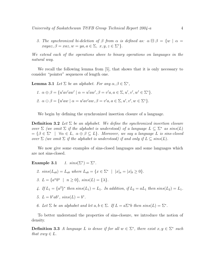3. The synchronized bi-deletion of  $\beta$  from  $\alpha$  is defined as:  $\alpha \boxminus \beta = \{w \mid \alpha =$  $xayaz, \beta = xaz, w = ya, a \in \Sigma, x, y, z \in \Sigma^*$ 

We extend each of the operations above to binary operations on languages in the natural way.

We recall the following lemma from [5], that shows that it is only necessary to consider "pointer" sequences of length one.

**Lemma 3.1** Let  $\Sigma$  be an alphabet. For any  $\alpha, \beta \in \Sigma^*$ ,

\n- 1. 
$$
\alpha \oplus \beta = \{u'av'aw' \mid \alpha = u'aw', \beta = v'a, a \in \Sigma, u', v', w' \in \Sigma^*\}.
$$
\n- 2.  $\alpha \ominus \beta = \{u'aw \mid \alpha = u'av'aw, \beta = v'a, a \in \Sigma, u', v', w \in \Sigma^*\}.$
\n

We begin by defining the synchronized insertion closure of a language.

**Definition 3.2** Let  $\Sigma$  be an alphabet. We define the synchronized insertion closure over  $\Sigma$  (we omit  $\Sigma$  if the alphabet is understood) of a language  $L \subseteq \Sigma^*$  as  $sins(L)$  $= \{ \beta \in \Sigma^* \mid \forall \alpha \in L, \ \alpha \oplus \beta \subseteq L \}.$  Moreover, we say a language L is sins-closed over  $\Sigma$  (we omit  $\Sigma$  if the alphabet is understood) if and only if  $L \subseteq \text{sins}(L)$ .

We now give some examples of sins-closed languages and some languages which are not sins-closed.

Example  $3.1$ .  $) = \Sigma^*$ .

- 2.  $sins(L_{ab}) = L_{ab}$  where  $L_{ab} = \{x \in \Sigma^* \mid |x|_a = |x|_b \ge 0\}.$
- 3.  $L = \{a^n b^n \mid n \ge 0\}, \, \text{sing}(L) = \{\lambda\}.$
- 4. If  $L_1 = \{a^2\}^*$  then  $sins(L_1) = L_1$ . In addition, if  $L_2 = aL_1$  then  $sins(L_2) = L_1$ .

5. 
$$
L = b^*ab^*
$$
,  $sins(L) = b^*$ .

6. Let  $\Sigma$  be an alphabet and let  $a, b \in \Sigma$ . If  $L = a\Sigma^*b$  then  $sins(L) = \Sigma^*$ .

To better understand the properties of sins-closure, we introduce the notion of density.

**Definition 3.3** A language L is dense if for all  $w \in \Sigma^*$ , there exist  $x, y \in \Sigma^*$  such that  $xwy \in L$ .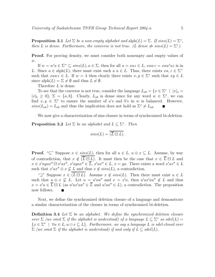**Proposition 3.1** Let  $\Sigma$  be a non-empty alphabet and  $\text{alph}(L) = \Sigma$ . If  $sins(L) = \Sigma^*$ , then L is dense. Furthermore, the converse is not true. (L dense  $\neq$  sins(L) =  $\Sigma^*$ ).

**Proof.** For proving density, we must consider both nonempty and empty values of  $w$ .

If  $w = w'a \in \Sigma^+ \subseteq \text{sing}(L), a \in \Sigma$ , then for all  $u = xaz \in L$ ,  $xawz = xaw'az$  is in L. Since  $a \in \text{alph}(L)$ , there must exist such a  $u \in L$ . Thus, there exists  $xa, z \in \Sigma^+$ such that  $xawz \in L$ . If  $w = \lambda$  then clearly there exists  $x, y \in \Sigma^*$  such that  $xy \in L$ since alph $(L) = \Sigma \neq \emptyset$  and thus  $L \neq \emptyset$ .

Therefore L is dense.

To see that the converse is not true, consider the language  $L_{ab} = \{x \in \Sigma^* \mid ||x||_a =$  $|x|_b \geq 0$ ,  $\Sigma = \{a, b\}$ . Clearly,  $L_{ab}$  is dense since for any word  $w \in \Sigma^*$ , we can find  $x, y \in \Sigma^*$  to ensure the number of a's and b's in w is balanced. However,  $sins(L_{ab}) = L_{ab}$  and thus the implication does not hold as  $\Sigma^* \neq L_{ab}$ .

We now give a characterization of sins-closure in terms of synchronized bi-deletion.

**Proposition 3.2** Let  $\Sigma$  be an alphabet and  $L \subseteq \Sigma^*$ . Then

$$
sins(L) = \overline{(\overline{L} \boxminus L)}.
$$

**Proof.** "⊆" Suppose  $x \in \text{sins}(L)$ , then for all  $u \in L$ ,  $u \oplus x \subseteq L$ . Assume, by way of contradiction, that  $x \notin \overline{(\overline{L} \boxminus L)}$ . It must then be the case that  $x \in \overline{L} \boxminus L$  and  $x \in x'ayax'' \boxminus x'ax'', x'ayax'' \in \overline{L}, x'ax'' \in L, x = ya.$  There exists a word  $x'ax'' \in L$ such that  $x'ax'' \oplus x \nsubseteq L$  and thus  $x \notin sins(L)$ , a contradiction.

" $\supseteq$ " Suppose  $x \in (\overline{L} \boxminus L)$ . Assume  $x \notin \text{sing}(L)$ . Then there must exist  $u \in L$ such that  $u \oplus x \nsubseteq L$ . Let  $u = u'au''$  and  $x = x'a$ , then  $u'ax'au'' \notin L$  and thus  $x = x'a \in \overline{L} \boxminus L$  (as  $u'ax'au'' \in \overline{L}$  and  $u'au'' \in L$ ), a contradiction. The proposition now follows.

Next, we define the synchronized deletion closure of a language and demonstrate a similar characterization of the closure in terms of synchronized bi-deletion.

**Definition 3.4** Let  $\Sigma$  be an alphabet. We define the synchronized deletion closure over  $\Sigma$  (we omit  $\Sigma$  if the alphabet is understood) of a language  $L \subseteq \Sigma^*$  as  $sdel(L) =$  ${x \in \Sigma^* \mid \forall u \in L, u \ominus x \subseteq L}.$  Furthermore, we say a language L is sdel-closed over  $\Sigma$  (we omit  $\Sigma$  if the alphabet is understood) if and only if  $L \subseteq \text{sdel}(L)$ .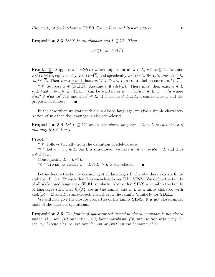**Proposition 3.3** Let  $\Sigma$  be an alphabet and  $L \subseteq \Sigma^*$ . Then

$$
sdel(L) = \overline{(L \boxminus \overline{L})}.
$$

**Proof.** "⊆" Suppose  $x \in \text{sdel}(L)$  which implies for all  $u \in L$ ,  $u \ominus x \subseteq L$ . Assume  $x \notin \overline{(L\boxminus\overline{L})}$ , equivalently,  $x \in (L\boxminus\overline{L})$  and specifically  $x \in \alpha ax'a\beta \boxminus \alpha a\beta$ ,  $\alpha ax'a\beta \in L$ ,  $\alpha a \beta \in \overline{L}$ . Then  $x = x' a$  and thus  $\alpha a \beta \in L \ominus x \subseteq L$ , a contradiction since  $\alpha a \beta \in \overline{L}$ .

" $\supseteq$ " Suppose  $x \in \overline{(L \boxminus \overline{L})}$ . Assume  $x \notin \text{sdel}(L)$ . There must then exist  $u \in L$ such that  $u \in \mathcal{x} \nsubseteq L$ . Then u can be written as  $u = u'ax'au'' \in L$ ,  $x = x'a$  where  $u'au'' \in u'ax'au'' \ominus x$  and  $u'au'' \notin L$ . But then  $x \in L \boxminus \overline{L}$ , a contradiction, and the proposition follows.  $\blacksquare$ 

In the case when we start with a sins-closed language, we give a simple characterization of whether the language is also sdel-closed.

**Proposition 3.4** Let  $L \subseteq \Sigma^+$  be an sins-closed language. Then L is sdel-closed if and only if  $L \ominus L = L$ .

Proof. "⇒"

"⊇" Follows trivially from the definition of sdel-closure.

" $\subseteq$ " Let  $u = u'a \in L$ . As L is sins-closed, we have  $uu \in u'a \oplus u'a \subseteq L$  and thus  $u \in L \ominus L$ .

Consequently  $L = L \ominus L$ .

" $\Leftarrow$ " Trivial, as clearly  $L = L \ominus L \Rightarrow L$  is sdel-closed.

Let us denote the family consisting of all languages  $L$  whereby there exists a finite alphabet  $\Sigma, L \subseteq \Sigma^*$  such that L is sins-closed over  $\Sigma$  by **SINS**. We define the family of all sdel-closed languages, SDEL similarly. Notice that SINS is equal to the family of languages such that  $\emptyset$ ,  $\{\lambda\}$  are in the family and if  $\Sigma$  is a finite alphabet with  $a\text{lph}(L) = \Sigma$  and L is sins-closed, then L is in the family. Similarly for **SDEL**.

We will now give the closure properties of the family **SINS**. It is not closed under most of the classical operations.

**Proposition 3.5** The family of synchronized-insertion-closed languages is not closed under  $(i)$  union,  $(ii)$  catenation,  $(iii)$  homomorphism,  $(iv)$  intersection with a regular set, (v) Kleene closure (vi) complement or (vii) inverse homomorphism.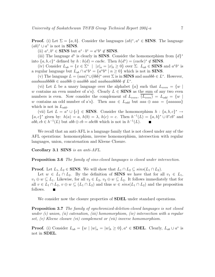**Proof.** (i) Let  $\Sigma = \{a, b\}$ . Consider the languages  $(ab)^*, a^* \in \mathbf{SINS}$ . The language  $(ab)^* \cup a^*$  is not in **SINS**.

(ii)  $a^*, b^* \in \textbf{SINS}$  but  $a^* \cdot b^* = a^*b^* \notin \textbf{SINS}$ .

(iii) The language  $d^*$  is clearly in **SINS**. Consider the homomorphism from  $\{d\}^*$ into  $\{a, b, c\}^*$  defined by  $h : h(d) = \text{cache}$ . Then  $h(d^*) = (\text{cache})^* \notin \text{SINS}$ .

(iv) Consider  $L_{ab} = \{x \in \Sigma^* \mid |x|_a = |x|_b \ge 0\}$  over  $\Sigma$ .  $L_{ab} \in \mathbf{SINS}$  and  $a^*b^*$  is a regular language but  $L_{ab} \cap a^* b^* = \{a^n b^n \mid n \ge 0\}$  which is not in **SINS**.

(v) The language  $L = (aaa)^* \cup (bbb)^*$  over  $\Sigma$  is in **SINS** and *aaabbb*  $\in L^*$ . However, aaabaaabbbbb ∈ aaabbb  $\oplus$  aaabbb and aaabaaabbbbb ∉ L<sup>\*</sup>.

(vi) Let L be a unary language over the alphabet  $\{a\}$  such that  $L_{even} = \{w \mid$ w contains an even number of a's}. Clearly  $L \in \mathbf{SINS}$  as the sum of any two even numbers is even. Now consider the complement of  $L_{even}$ ,  $\overline{(L_{even})} = L_{odd} = \{w \mid$ w contains an odd number of a's}. Then  $aaa \in L_{odd}$  but  $aaa \oplus aaa = \{aaaa \}$ which is not in  $L_{odd}$ .

(vii) Let  $L = a^* \cup \{c\} \in \mathbf{SINS}$ . Consider the homomorphism  $h : \{a, b, c\}^* \to$  ${a, c}^*$  given by:  $h(a) = a, h(b) = \lambda, h(c) = c$ . Then  $h^{-1}(L) = {a, b}^* \cup b^* c b^*$  and  $abb, cb \in h^{-1}(L)$  but  $abb \oplus cb = abcbb$  which is not in  $h^{-1}(L)$ .

We recall that an anti-AFL is a language family that is not closed under any of the AFL operations: homomorphism, inverse homomorphism, intersection with regular languages, union, concatenation and Kleene Closure.

Corollary 3.1 SINS is an anti-AFL.

**Proposition 3.6** The family of sins-closed languages is closed under intersection.

**Proof.** Let  $L_1, L_2 \in$  SINS. We will show that  $L_1 \cap L_2 \subseteq \text{sins}(L_1 \cap L_2)$ .

Let  $w \in L_1 \cap L_2$ . By the definition of **SINS** we have that for all  $v_1 \in L_1$ ,  $v_1 \oplus w \subseteq L_1$ . Likewise, for all  $v_2 \in L_2$ ,  $v_2 \oplus w \subseteq L_2$ . It follows immediately that for all  $v \in L_1 \cap L_2$ ,  $v \oplus w \subseteq (L_1 \cap L_2)$  and thus  $w \in \text{sing}(L_1 \cap L_2)$  and the proposition follows.

We consider now the closure properties of **SDEL** under standard operations.

Proposition 3.7 The family of synchronized-deletion-closed languages is not closed under  $(i)$  union,  $(ii)$  catenation,  $(iii)$  homomorphism,  $(iv)$  intersection with a regular set, (v) Kleene closure (vi) complement or (vii) inverse homomorphism.

**Proof.** (i) Consider  $L_{ab} = \{w \mid |w|_a = |w|_b \ge 0\}$ ,  $a^* \in$  **SDEL**. Clearly,  $L_{ab} \cup a^*$  is not in SDEL.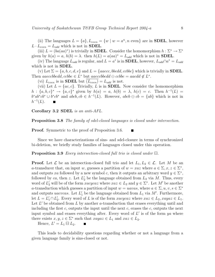(ii) The languages  $L = \{a\}, L_{even} = \{w \mid w = a^n, n \text{ even}\}\$ are in **SDEL**, however  $L \cdot L_{even} = L_{odd}$  which is not in **SDEL**.

(iii)  $L = (ba(aa)^*)$  is trivially in **SDEL**. Consider the homomorphism  $h : \Sigma^* \to \Sigma^*$ given by  $h(a) = a$ ,  $h(b) = \lambda$ . then  $h(L) = a(aa)^* = L_{odd}$  which is not in **SDEL**.

(iv) The language  $L_{odd}$  is regular, and  $L = a^*$  is in **SDEL**, however,  $L_{odd} \cap a^* = L_{odd}$ which is not in **SDEL**.

(v) Let  $\Sigma = \{a, b, c, d, e\}$  and  $L = \{aaecc, bbedd, ccbbe\}$  which is trivially in **SDEL**. Then aaeccbbedd, ccbbe  $\in L^*$  but aaeccbbedd  $\ominus$  ccbbe = aaedd  $\notin L^*$ .

(vi)  $L_{even}$  is in **SDEL** but  $\overline{(L_{even})} = L_{odd}$  is not.

(vii) Let  $L = \{ac, c\}$ . Trivially, L is in **SDEL**. Now consider the homomorphism  $h: \{a, b, c\}^* \to \{a, c\}^*$  given by  $h(a) = a, h(b) = \lambda, h(c) = c$ . Then  $h^{-1}(L) =$  $b^*ab^*cb^* \cup b^*cb^*$  and  $abcb, cb \in h^{-1}(L)$ . However,  $abcb \ominus cb = \{ab\}$  which is not in  $h^{-1}(L)$ . П

Corollary 3.2 SDEL is an anti-AFL.

**Proposition 3.8** The family of sdel-closed languages is closed under intersection.

**Proof.** Symmetric to the proof of Proposition 3.6.  $\blacksquare$ 

Since we have characterizations of sins- and sdel-closure in terms of synchronized bi-deletion, we briefly study families of languages closed under this operation.

**Proposition 3.9** Every intersection-closed full trio is closed under  $\boxminus$ .

**Proof.** Let  $\mathcal{L}$  be an intersection-closed full trio and let  $L_1, L_2 \in \mathcal{L}$ . Let M be an a-transducer that, on input w, guesses a partition of  $w = xaz$  where  $a \in \Sigma, x, z \in \Sigma^*$ , and outputs xa followed by a new symbol c, then it outputs an arbitrary word  $y \in \Sigma^*$ , followed by ca, then z. Let  $L'_2$  be the language obtained from  $L_2$  via M. Thus, every word of  $L'_2$  will be of the form  $xacycaz$  where  $xaz \in L_2$  and  $y \in \Sigma^*$ . Let M' be another a-transduction which guesses a partition of input  $w = uavas$ , where  $a \in \Sigma, u, v, s \in \Sigma^*$ and outputs *uacvcas*. Let  $L'_1$  be the language obtained from  $L_1$  via  $M'$ . Furthermore, let  $L = L'_1 \cap L'_2$  $\mathcal{L}_2'$ . Every word of L is of the form  $xacycaz$  where  $xaz \in L_2$ ,  $xayaz \in L_1$ . Let  $L'$  be obtained from  $L$  by another a-transduction that erases everything until and including the first c, outputs the input until the next c, erases the c, outputs the next input symbol and erases everything after. Every word of  $L'$  is of the form  $ya$  where there exists  $x, y, z \in \Sigma^*$  such that  $xayaz \in L_1$  and  $xaz \in L_2$ .

Hence,  $L' = L_1 \boxminus L_2$ .

This leads to decidability questions regarding whether or not a language from a given language family is sins-closed or not.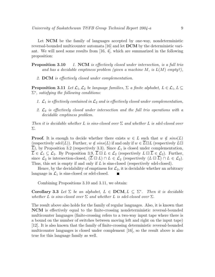Let **NCM** be the family of languages accepted by one-way, nondeterministic reversal-bounded multicounter automata [16] and let **DCM** by the deterministic variant. We will need some results from [16, 4], which are summarized in the following proposition:

- **Proposition 3.10** 1. NCM is effectively closed under intersection, is a full trio and has a decidable emptiness problem (given a machine M, is  $L(M)$  empty?),
	- 2. DCM is effectively closed under complementation.

**Proposition 3.11** Let  $\mathcal{L}_1, \mathcal{L}_2$  be language families,  $\Sigma$  a finite alphabet,  $L \in \mathcal{L}_1, L \subseteq$  $\Sigma^*$ , satisfying the following conditions:

- 1.  $\mathcal{L}_1$  is effectively contained in  $\mathcal{L}_2$  and is effectively closed under complementation,
- 2.  $\mathcal{L}_2$  is effectively closed under intersection and the full trio operations with a decidable emptiness problem.

Then it is decidable whether L is sins-closed over  $\Sigma$  and whether L is sdel-closed over Σ.

**Proof.** It is enough to decide whether there exists  $w \in L$  such that  $w \notin \text{sing}(L)$ (respectively sdel(L)). Further,  $w \notin sins(L)$  if and only if  $w \in \overline{L} \boxminus L$  (respectively  $L \boxminus$  $\overline{L}$ ), by Proposition 3.2 (respectively 3.3). Since  $\mathcal{L}_1$  is closed under complementation,  $\overline{L} \in \mathcal{L}_1 \subseteq \mathcal{L}_2$ . By Proposition 3.9,  $\overline{L} \boxminus L \in \mathcal{L}_2$  (respectively  $L \boxminus \overline{L} \in \mathcal{L}_2$ ). Further, since  $\mathcal{L}_2$  is intersection-closed,  $(\overline{L} \boxminus L) \cap L \in \mathcal{L}_2$  (respectively  $(L \boxminus \overline{L}) \cap L \in \mathcal{L}_2$ ). Thus, this set is empty if and only if L is sins-closed (respectively sdel-closed).

Hence, by the decidability of emptiness for  $\mathcal{L}_2$ , it is decidable whether an arbitrary language in  $\mathcal{L}_1$  is sins-closed or sdel-closed. П

Combining Propositions 3.10 and 3.11, we obtain:

Corollary 3.3 Let  $\Sigma$  be an alphabet,  $L \in \text{DCM}, L \subseteq \Sigma^*$ . Then it is decidable whether L is sins-closed over  $\Sigma$  and whether L is sdel-closed over  $\Sigma$ .

The result above also holds for the family of regular languages. Also, it is known that NCM is effectively equal to the finite-crossing nondeterministic reversal-bounded multicounter languages (finite-crossing refers to a two-way input tape where there is a bound on the number of switches between moving left and right on the input tape) [12]. It is also known that the family of finite-crossing deterministic reversal-bounded multicounter languages is closed under complement [16], so the result above is also true for this language family as well.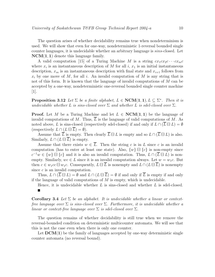The question arises of whether decidability remains true when nondeterminism is used. We will show that even for one-way, nondeterministic 1-reversal bounded single counter languages, it is undecidable whether an arbitrary language is sins-closed. Let  $NCM(1, 1)$  denote this language family.

A valid computation [15] of a Turing Machine M is a string  $cx_1cx_2c\cdots cx_mc$ where  $x_i$  is an instantaneous description of M for all i,  $x_1$  is an initial instantaneous description,  $x_m$  is an instantaneous description with final state and  $x_{i+1}$  follows from  $x_i$  by one move of M, for all i. An invalid computation of M is any string that is not of this form. It is known that the language of invalid computations of M can be accepted by a one-way, nondeterministic one-reversal bounded single counter machine  $|1|$ .

**Proposition 3.12** Let  $\Sigma$  be a finite alphabet,  $L \in \text{NCM}(1,1), L \subseteq \Sigma^*$ . Then it is undecidable whether L is sins-closed over  $\Sigma$  and whether L is sdel-closed over  $\Sigma$ .

**Proof.** Let M be a Turing Machine and let  $L \in \text{NCM}(1,1)$  be the language of invalid computations of M. Thus,  $\overline{L}$  is the language of valid computations of M. As noted above, L is sins-closed (respectively sdel-closed) if and only if  $L \cap (\overline{L} \boxminus L) = \emptyset$ (respectively  $L \cap (L \boxminus L) = \emptyset$ ).

Assume that  $\overline{L}$  is empty. Then clearly  $\overline{L} \boxminus L$  is empty and so  $L \cap (\overline{L} \boxminus L)$  is also. Similarly,  $L \cap (L \boxminus \overline{L})$  is empty.

Assume that there exists  $w \in \overline{L}$ . Then the string c is in L since c is an invalid computation (has to enter at least one state). Also,  $\{w\} \boxminus \{c\}$  is non-empty since  $c^{-1}w \in \{w\} \boxminus \{c\}$  and it is also an invalid computation. Thus,  $L \cap (\overline{L} \boxminus L)$  is nonempty. Similarly,  $wc \in L$  since it is an invalid computation always. Let  $w = w_1c$ . But then  $c \in w_1 c c \boxminus w_1 c$ . Consequently,  $L \boxminus \overline{L}$  is nonempty and  $L \cap (L \boxminus \overline{L})$  is nonempty since  $c$  is an invalid computation.

Thus,  $L \cap (\overline{L} \boxminus L) = \emptyset$  and  $L \cap (L \boxminus \overline{L}) = \emptyset$  if and only if  $\overline{L}$  is empty if and only if the language of valid computations of  $M$  is empty, which is undecidable.

Hence, it is undecidable whether  $L$  is sins-closed and whether  $L$  is sdel-closed.

**Corollary 3.4** Let  $\Sigma$  be an alphabet. It is undecidable whether a linear or contextfree language over  $\Sigma$  is sins-closed over  $\Sigma$ . Furthermore, it is undecidable whether a linear or context-free language over  $\Sigma$  is sdel-closed over  $\Sigma$ .

The question remains of whether decidability is still true when we remove the reversal-bounded condition on deterministic multicounter automata. We will see that this is not the case even when there is only one counter.

Let  $DCM(1)$  be the family of languages accepted by one-way deterministic single counter automata (no reversal bound).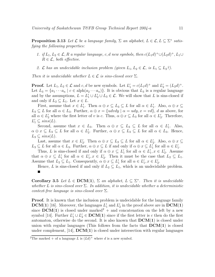**Proposition 3.13** Let  $\mathcal L$  be a language family,  $\Sigma$  an alphabet,  $L \in \mathcal L, L \subseteq \Sigma^*$  satisfying the following properties:

- 1. if  $L_1, L_2 \in \mathcal{L}, R$  a regular language, c, d new symbols, then  $c(L_1d)^+ \cup (L_2d)^+, L_1 \cup$  $R \in \mathcal{L}$ , both effective.
- 2.  $\mathcal L$  has an undecidable inclusion problem (given  $L_1, L_2 \in \mathcal L$ , is  $L_1 \subseteq L_2$ ?).

Then it is undecidable whether  $L \in \mathcal{L}$  is sins-closed over  $\Sigma$ .

**Proof.** Let  $L_1, L_2 \in \mathcal{L}$  and  $c, d$  be new symbols. Let  $L'_1 = c(L_1d)^+$  and  $L'_2 = (L_2d)^+$ . Let  $L_3 = \{a_1 \cdots a_n \mid c \in \text{alph}(a_2 \cdots a_n)\}\.$  It is obvious that  $L_3$  is a regular language and by the assumptions,  $L = L'_1 \cup L'_2 \cup L_3 \in \mathcal{L}$ . We will show that L is sins-closed if and only if  $L_2 \subseteq L_1$ . Let  $x \in L$ .

First, assume that  $x \in L'_1$ '<sub>1</sub>. Then  $\alpha \oplus x \subseteq L_3 \subseteq L$  for all  $\alpha \in L'_1$  $\zeta_1'$ . Also,  $\alpha \oplus x \subseteq$  $L_3 \subseteq L$  for all  $\alpha \in L_3$ . Further,  $\alpha \oplus x = \{udvdy \mid \alpha = udy, x = vd\}$ , d as above, for all  $\alpha \in L'_2$  where the first letter of v is c. Thus,  $\alpha \oplus x \subseteq L_3$  for all  $\alpha \in L'_2$  $\frac{1}{2}$ . Therefore,  $L'_1 \subseteq \text{sins}(L)$ .

Second, assume that  $x \in L_3$ . Then  $\alpha \oplus x \subseteq L_3 \subseteq L$  for all  $\alpha \in L'_1$  $\int_1$ . Also,  $\alpha \oplus x \subseteq L_3 \subseteq L$  for all  $\alpha \in L_2'$ '<sub>2</sub>. Further,  $\alpha \oplus x \subseteq L_3 \subseteq L$  for all  $\alpha \in L_3$ . Hence,  $L_3 \subseteq \text{sins}(L)$ .

Last, assume that  $x \in L_2'$ '<sub>2</sub>. Then  $\alpha \oplus x \subseteq L_2 \subseteq L$  for all  $\alpha \in L_2'$  $x_2'$ . Also,  $\alpha \oplus x \subseteq$  $L_3 \subseteq L$  for all  $\alpha \in L_3$ . Further,  $\alpha \oplus x \subseteq L$  if and only if  $\alpha \oplus x \subseteq L'_1$  $\int_1$  for all  $\alpha \in L'_1$  $\frac{1}{1}$ .

Thus, L is sins-closed if and only if  $\alpha \oplus x \subseteq L'_1$ '<sub>1</sub> for all  $\alpha \in L'_1$  $'_{1}, x \in L'_{2}$  $\frac{7}{2}$ . Assume that  $\alpha \oplus x \subseteq L'_1$ '<sub>1</sub> for all  $\alpha \in L'_1$  $'_{1}, x \in L'_{2}$ '<sub>2</sub>. Then it must be the case that  $L_2 \subseteq L_1$ . Assume that  $L_2 \subseteq L_1$ . Consequently,  $\alpha \oplus x \subseteq L'_1$ '<sub>1</sub> for all  $\alpha \in L'_1$  $'_{1}, x \in L'_{2}$  $\frac{1}{2}$ .

Hence, L is sins-closed if and only if  $L_2 \subseteq L_1$ , which is an undecidable problem.  $\blacksquare$ 

Corollary 3.5 Let  $L \in \text{DCM}(1)$ ,  $\Sigma$  an alphabet,  $L \subseteq \Sigma^*$ . Then it is undecidable whether L is sins-closed over  $\Sigma$ . In addition, it is undecidable whether a deterministic context-free language is sins-closed over  $\Sigma$ .

Proof. It is known that the inclusion problem is undecidable for the language family  $DCM(1)$  [16]. Moreover, the languages  $L_1'$  $L'_1$  and  $L'_2$  $\mathcal{L}_2'$  in the proof above are in  $\mathbf{DCM(1)}$ since  $DCM(1)$  is closed under marked<sup>2</sup> + and concatenation on the left by a new symbol [14]. Further  $L'_1 \cup L'_2 \in \mathbf{DCM}(1)$  since if the first letter is c then do the first automaton, otherwise do the second. It is also known that  $DCM(1)$  is closed under union with regular languages (This follows from the facts that  $DCM(1)$  is closed under complement,  $[14]$ ,  $DCM(1)$  is closed under intersection with regular languages

<sup>&</sup>lt;sup>2</sup>The marked + of a language L is  $(Ld)^+$  where d is a new symbol.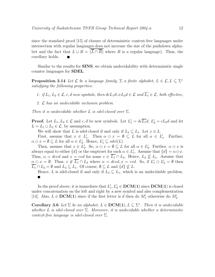since the standard proof [15] of closure of deterministic context-free languages under intersection with regular languages does not increase the size of the pushdown alphabet and the fact that  $L \cup R = \overline{(\overline{L} \cap \overline{R})}$  where R is a regular language). Thus, the corollary holds.

Similar to the results for **SINS**, we obtain undecidability with deterministic single counter languages for SDEL.

**Proposition 3.14** Let  $\mathcal L$  be a language family,  $\Sigma$  a finite alphabet,  $L \in \mathcal L, L \subseteq \Sigma^*$ satisfying the following properties:

1. if  $L_1, L_2 \in \mathcal{L}$ , c, d new symbols, then  $d c L_1 d \cup c L_2 d \in \mathcal{L}$  and  $\overline{L_1} \in \mathcal{L}$ , both effective,

2. L has an undecidable inclusion problem.

Then it is undecidable whether L is sdel-closed over  $\Sigma$ .

**Proof.** Let  $L_1, L_2 \in \mathcal{L}$  and  $c, d$  be new symbols. Let  $L'_1 = d c \overline{L_1} d$ ,  $L'_2 = c L_2 d$  and let  $L = L_1 \cup L_2 \in \mathcal{L}$ , by assumption.

We will show that L is sdel-closed if and only if  $L_2 \subseteq L_1$ . Let  $x \in L$ .

First, assume that  $x \in L_1'$ '<sub>1</sub>. Then  $\alpha \ominus x = \emptyset \subseteq L$  for all  $\alpha \in L'_1$ 1 . Further,  $\alpha \ominus x = \emptyset \subseteq L$  for all  $\alpha \in L_2'$ <sup>2</sup>. Hence,  $L'_1 \subseteq \text{sdel}(L)$ .

Then, assume that  $x \in L_2'$ '<sub>2</sub>. So,  $\alpha \ominus x = \emptyset \subseteq L$  for all  $\alpha \in L'_2$  $x_2'$ . Further,  $\alpha \ominus x$  is always equal to either  $\{d\}$  or the emptyset for each  $\alpha \in L'$  $\Lambda_1'$ . Assume that  $\{d\} = \alpha \ominus x$ . Thus,  $\alpha = dcvd$  and  $x = cvd$  for some  $v \in \overline{L_1} \cap L_2$ . Hence,  $L_2 \nsubseteq L_1$ . Assume that  $\alpha \ominus x = \emptyset$ . Thus,  $v \notin \overline{L_1} \cap L_2$  where  $\alpha = dcvd$ ,  $x = cvd$ . So, if  $L'_1 \ominus L'_2 = \emptyset$  then  $L_1 \cap L_2 = \emptyset$  and  $L_2 \subseteq L_1$ . Of course,  $\emptyset \subseteq L$  and  $\{d\} \nsubseteq L$ .

Hence, L is sdel-closed if and only if  $L_2 \subseteq L_1$ , which is an undecidable problem.  $\blacksquare$ 

In the proof above, it is immediate that  $L_1'$  $L'_1, L'_2 \in \mathbf{DCM}(1)$  since  $\mathbf{DCM}(1)$  is closed under concatenation on the left and right by a new symbol and also complementation [14]. Also,  $L \in \text{DCM}(1)$  since if the first letter is d then do  $M'_1$  otherwise do  $M'_2$ .

**Corollary 3.6** Let  $\Sigma$  be an alphabet,  $L \in \mathbf{DCM}(1), L \subseteq \Sigma^*$ . Then it is undecidable whether L is sdel-closed over  $\Sigma$ . Moreover, it is undecidable whether a deterministic context-free language is sdel-closed over  $\Sigma$ .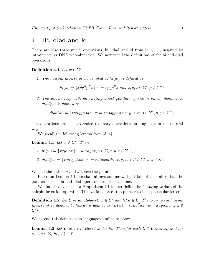#### 4 Hi, dlad and ld

There are also three unary operations, hi, dlad and ld from [7, 8, 9], inspired by intramolecular DNA recombination. We now recall the definitions of the hi and dlad operations.

Definition 4.1 Let  $w \in \Sigma^*$ .

1. The hairpin inverse of w, denoted by  $hi(w)$  is defined as

$$
hi(w) = \{xpy^Rp^Rz \mid w = xpyp^Rz \text{ and } x, y, z \in \Sigma^*, p \in \Sigma^+\}.
$$

2. The double loop with alternating direct pointers operation on w, denoted by  $dlad(w)$  is defined as

$$
dlad(w) = \{x p \alpha q y p \beta q z \mid w = x p \beta q y p \alpha q z, x, y, z, \alpha, \beta \in \Sigma^*, p, q \in \Sigma^+ \}.
$$

The operations are then extended to unary operations on languages in the natural way.

We recall the following lemma from [3, 4].

**Lemma 4.1** Let  $w \in \Sigma^*$ . Then

$$
1. \quad hi(w) = \{xay^Raz \mid w = xayaz, a \in \Sigma, x, y, z \in \Sigma^*\},
$$

2.  $dlad(w) = \{xa\alpha bya\beta bz \mid w = xa\beta bya\alpha bz, x, y, z, \alpha, \beta \in \Sigma^*, a, b \in \Sigma\}.$ 

We call the letters a and b above the pointers.

Based on Lemma 4.1, we shall always assume without loss of generality that the pointers for the hi and dlad operators are of length one.

We find it convenient for Proposition 4.1 to first define the following variant of the hairpin inversion operator. This variant forces the pointer to be a particular letter.

**Definition 4.2** Let  $\Sigma$  be an alphabet,  $w \in \Sigma^*$  and let  $a \in \Sigma$ . The a-projected hairpin inverse of w, denoted by  $hi_a(w)$  is defined as  $hi_a(w) = \{xay^Raz \mid w = xayaz, x, y, z \in$  $\Sigma^*$ }.

We extend this definition to languages similar to above.

**Lemma 4.2** Let  $\mathcal L$  be a trio closed under hi. Then for each  $L \in \mathcal L$  over  $\Sigma$ , and for each  $a \in \Sigma$ ,  $hi_a(L) \in \mathcal{L}$ .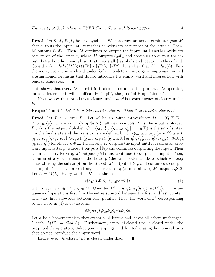**Proof.** Let  $\$_1, \$_2, \$_3, \$_4$  be new symbols. We construct an nondeterministic gsm M that outputs the input until it reaches an arbitrary occurrence of the letter a. Then, M outputs  $\mathcal{S}_1$  as  $\mathcal{S}_2$ . Then, M continues to output the input until another arbitrary occurrence of the letter a, where M outputs  $\hat{\mathcal{F}}_3a\hat{\mathcal{F}}_4$  and continues to output the input. Let h be a homomorphism that erases all \$ symbols and leaves all others fixed. Consider  $L' = h(hi(M(L)) \cap \Sigma^* \S_1 a \S_3 \Sigma^* \S_2 a \S_4 \Sigma^*).$  It is clear that  $L' = hi_a(L)$ . Furthermore, every trio is closed under  $\lambda$ -free nondeterministic gsm mappings, limited erasing homomorphisms that do not introduce the empty word and intersection with regular languages.

This shows that every hi-closed trio is also closed under the projected hi operator, for each letter. This will significantly simplify the proof of Proposition 4.1.

Next, we see that for all trios, closure under *dlad* is a consequence of closure under hi.

#### **Proposition 4.1** Let  $\mathcal{L}$  be a trio closed under hi. Then  $\mathcal{L}$  is closed under dlad.

**Proof.** Let  $L \in \mathcal{L}$  over  $\Sigma$ . Let M be an  $\lambda$ -free a-transducer  $M = (Q, \Sigma, \Sigma \cup \mathcal{L})$  $(\Delta, \delta, q_0, \{q\})$  where  $\Delta = \{\$\,\$\_1,\$\_2,\$\_3\},$  all new symbols,  $\Sigma$  is the input alphabet,  $\Sigma \cup \Delta$  is the output alphabet,  $Q = \{q_0, q\} \cup \{q_a, q_{ab}, q'_a\}$  $a \mid a, b \in \Sigma$  is the set of states, q is the final state and the transitions are defined by,  $\delta = \{(q_0, a, a, q_0), (q_0, a, \$\$, a, q_a),\}$  $(q_a, b, b, q_a), (q_a, b, b\$_1\$_2, q_{ab}), (q_{ab}, c, c, q_{ab}), (q_{ab}, a, \$_2\$_3a, q'_b)$  $\binom{b}{b}, \left(q'_{b}\right)$  $b<sub>b</sub>, c, c, q'_{b}$  $\binom{b}{b}$ ,  $\left(q_t^{\prime}\right)$  $b, b, b\$ <sub>3</sub>\\$, q),  $(q, c, c, q)$  for all  $a, b, c \in \Sigma$ . Intuitively, M outputs the input until it reaches an arbitrary input letter p, where M outputs  $\mathcal{F}_1$  and continues outputting the input. Then at an arbitrary letter q, M outputs  $q\mathfrak{F}_1\mathfrak{F}_2$  and continues to output the input. Then, at an arbitrary occurrence of the letter  $p$  (the same letter as above which we keep track of using the subscript on the states), M outputs  $\frac{1}{2} \frac{1}{2} \frac{1}{2}$  and continues to output the input. Then, at an arbitrary occurrence of q (also as above), M outputs  $q\$ \_3\. Let  $L' = M(L)$ . Every word of L' is of the form

$$
x\$\$\substack{1\\1}\beta q\$\substack{1\\3}\$\substack{2\\2}\$\substack{3\\3}\rho\alpha q\$\substack{3\\3}\$\substack{2}
$$
\n
$$
(1)
$$

with  $x, y, z, \alpha, \beta \in \Sigma^*, p, q \in \Sigma$ . Consider  $L'' = \operatorname{hi}_{s_3}(\operatorname{hi}_{s_2}(\operatorname{hi}_{s_1}(\operatorname{hi}_s(L'))))$ . This sequence of operations first flips the entire subword between the first and last pointer, then the three subwords between each pointer. Thus, the word of  $L''$  corresponding to the word in (1) is of the form,

$$
x \$\$_3p\alpha q \$_3\$_2y\$_2\$_1p\beta q\$_1\$z.
$$

Let  $h$  be a homomorphism that erases all  $\frac{1}{2}$  letters and leaves all others unchanged. Clearly,  $h(L'') = dlad(L)$ . Furthermore, every hi-closed trio is closed under the projected hi operators,  $\lambda$ -free gsm mappings and limited erasing homomorphisms that do not introduce the empty word.

Hence, every *hi*-closed trio is closed under dlad. П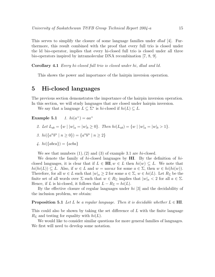This serves to simplify the closure of some language families under *dlad* [4]. Furthermore, this result combined with the proof that every full trio is closed under the ld bio-operator, implies that every hi-closed full trio is closed under all three bio-operators inspired by intramolecular DNA recombination [7, 8, 9].

Corollary 4.1 Every hi-closed full trio is closed under hi, dlad and ld.

This shows the power and importance of the hairpin inversion operation.

#### 5 Hi-closed languages

The previous section demonstrates the importance of the hairpin inversion operation.

In this section, we will study languages that are closed under hairpin inversion.

We say that a language  $L \subseteq \Sigma^*$  is hi-closed if  $hi(L) \subseteq L$ .

Example  $5.1$ 1.  $hi(a^+) = aa^+$ 

- 2. Let  $L_{ab} = \{w \mid |w|_a = |w|_b \ge 0\}$ . Then  $hi(L_{ab}) = \{w \mid |w|_a = |w|_b > 1\}$ .
- 3.  $hi({a^n b^n | n \ge 0}) = {a^n b^n | n \ge 2}$

$$
\text{4. } hi(\{abcd\}) = \{acba\}
$$

We see that numbers  $(1), (2)$  and  $(3)$  of example 3.1 are hi-closed.

We denote the family of hi-closed languages by  $\mathbf{H}\mathbf{I}$ . By the definition of hiclosed languages, it is clear that if  $L \in \mathbf{H}$ ,  $w \in L$  then  $hi(w) \subseteq L$ . We note that  $hi(hi(L)) \subseteq L$ . Also, if  $w \in L$  and  $w = uavax$  for some  $a \in \Sigma$ , then  $w \in hi(hi(w))$ . Therefore, for all  $w \in L$  such that  $|w|_a \geq 2$  for some  $a \in \Sigma$ ,  $w \in hi(L)$ . Let  $R_{\Sigma}$  be the finite set of all words over  $\Sigma$  such that  $w \in R_{\Sigma}$  implies that  $|w|_a < 2$  for all  $a \in \Sigma$ . Hence, if L is hi-closed, it follows that  $L - R_{\Sigma} = hi(L)$ .

By the effective closure of regular languages under hi [3] and the decidability of the inclusion problem, we obtain:

**Proposition 5.1** Let L be a regular language. Then it is decidable whether  $L \in \textbf{HI}$ .

This could also be shown by taking the set difference of L with the finite language  $R_{\Sigma}$  and testing for equality with  $hi(L)$ .

We would like to consider similar questions for more general families of languages. We first will need to develop some notation.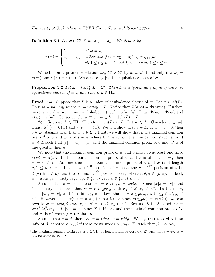**Definition 5.1** Let  $w \in \Sigma^*, \Sigma = \{a_1, \ldots, a_k\}$ . We denote by

$$
\pi(w) = \begin{cases}\n\lambda & \text{if } w = \lambda, \\
a_{i_1} \cdots a_{i_m} & \text{otherwise if } w = a_{i_1}^{j_1} \cdots a_{i_m}^{j_m}, i_l \neq i_{l+1} \text{ for} \\
& \text{all } 1 \leq l \leq m-1 \text{ and } j_i > 0 \text{ for all } 1 \leq i \leq m.\n\end{cases}
$$

We define an equivalence relation  $\equiv \subseteq \Sigma^* \times \Sigma^*$  by  $w \equiv w'$  if and only if  $\pi(w) =$  $\pi(w')$  and  $\Psi(w) = \Psi(w')$ . We denote by [w] the equivalence class of w.

**Proposition 5.2** Let  $\Sigma = \{a, b\}$ ,  $L \subseteq \Sigma^*$ . Then L is a (potentially infinite) union of equivalence classes of  $\equiv$  if and only if  $L \in H$ .

**Proof.** " $\Rightarrow$ " Suppose that L is a union of equivalence classes of  $\equiv$ . Let  $w \in hi(L)$ . Thus  $w = uav^Ray$  where  $w' = uavay \in L$ . Notice that  $\Psi(ava) = \Psi(av^Ra)$ . Furthermore, since L is over a binary alphabet,  $\pi(ava) = \pi(av^Ra)$ . Thus,  $\Psi(w) = \Psi(w')$  and  $\pi(w) = \pi(w')$ . Consequently,  $w \equiv w'$ ,  $w \in L$  and  $hi(L) \subseteq L$ .

" $\Leftarrow$ " Suppose  $L \in \mathbf{H}$ . Therefore,  $hi(L) \subseteq L$ . Let  $w \in L$ . Consider  $v \in [w]$ . Thus,  $\Psi(v) = \Psi(w)$  and  $\pi(v) = \pi(w)$ . We will show that  $v \in L$ . If  $w = v = \lambda$  then  $v \in L$ . Assume then that  $w, v \in \Sigma^{+}$ . First, we will show that if the maximal common prefix <sup>3</sup> of v and w is of size n, where  $0 \le n \le |w|$ , then we can construct a word  $w' \in L$  such that  $[v] = [w] = [w']$  and the maximal common prefix of v and w' is of size greater than  $n$ .

We note that the maximal common prefix of  $w$  and  $v$  must be at least one since  $\pi(w) = \pi(v)$ . If the maximal common prefix of w and v is of length |w|, then  $w = v \in L$ . Assume that the maximal common prefix of v and w is of length  $n, 1 \leq n \leq |w|$ . Let the  $n+1<sup>st</sup>$  position of w be c, the  $n+1<sup>st</sup>$  position of v be d (with  $c \neq d$ ) and the common  $n^{\text{th}}$  position be e, where  $c, d, e \in \{a, b\}$ . Indeed,  $w = x e c x_1, v = x e dy_1, x, x_1, y_1 \in \{a, b\}^*, e, c, d \in \{a, b\}, c \neq d.$ 

Assume that  $e = c$ , therefore  $w = xccx_1, v = xcdy_1$ . Since  $|w|_d = |v|_d$  and  $\Sigma$  is binary, it follows that  $w = xccx_2dx_3$ , with  $x_2 \in c^*$ ,  $x_3 \in \Sigma^*$ . Furthermore, since  $|w|_c = |v|_c$  and  $\Sigma$  is binary, it follows that  $v = xcy_2dcy_3$ , with  $y_2 \in d^*$ ,  $y_3 \in$ Σ<sup>\*</sup>. However, since  $\pi(w) = \pi(v)$ , (in particular since  $\pi(cy_2dc) = \pi(cdc)$ ), we can rewrite  $w = xccx_2dx_4cx_5, x_2 \in c^*, x_4 \in d^*, x_5 \in \Sigma^*$ . Because L is hi-closed,  $w' =$  $x c x_4^R dx_2^R c c x_5 \in L, [w'] = [w]$  since  $\Sigma$  is binary and the maximal common prefix of v and  $w'$  is of length greater than  $n$ .

Assume that  $e = d$ , therefore  $w = xdcx_1$ ,  $v = xddy_1$ . We say that a word  $\alpha$  is an infix of  $\beta$ , denoted  $\alpha \leq_{i} \beta$  if there exists words  $\alpha_1, \alpha_2 \in \Sigma^*$  such that  $\beta = \alpha_1 \alpha \alpha_2$ .

<sup>&</sup>lt;sup>3</sup>The maximal common prefix of  $v, w \in \Sigma^*$ , is the longest, unique word  $u \in \Sigma^*$  such that  $v = uv_1, w =$  $uv_2$  for some  $v_1, v_2 \in \Sigma^*$ .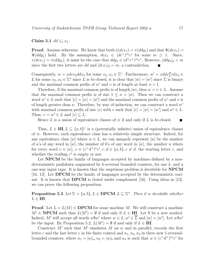#### Claim 5.1  $dd \leq_i x_1$ .

**Proof.** Assume otherwise. We know that both  $\pi(dx_1) = \pi(ddy_1)$  and that  $\Psi(dx_1) = \pi(dy_1)$  $\Psi(ddy_1)$  hold. By the assumption,  $dcx_1 \in (dc^+)^m c^*$  for some  $m \geq 1$ . Since,  $\pi(dcx_1) = \pi(ddy_1)$ , it must be the case that  $ddy_1 \in (d^+c^+)^m c^*$ . However,  $|ddy_1|_d > m$ since the first two letters are dd and  $|dcx_1|_d = m$ , a contradiction.

Consequently,  $w = xdcx_2ddx_3$  for some  $x_2, x_3 \in \Sigma^*$ . Furthermore,  $w' = xddx_2cdx_3 \in$ L for some  $x_2, x_3 \in \Sigma^*$  since L is hi-closed, it is clear that  $[w] = [w']$  since  $\Sigma$  is binary and the maximal common prefix of w' and v is of length at least  $n + 1$ .

Therefore, if the maximal common prefix is of length  $|w|$ , then  $w = v \in L$ . Assume that the maximal common prefix is of size  $1 \leq n \leq |w|$ . Then we can construct a word  $w' \in L$  such that  $[v] = [w] = [w']$  and the maximal common prefix of w' and v is of length greater than n. Therefore, by way of induction, we can construct a word  $w^i$ with maximal common prefix of size |v| with v such that  $[v] = [w] = [w^i]$  and  $w^i \in L$ . Thus,  $v = w^i \in L$  and  $[v] \subseteq L$ .

Hence L is a union of equivalence classes of  $\equiv$  if and only if L is hi-closed. ┓

Thus,  $L \in HI$ ,  $L \subseteq \{a, b\}^*$  is a (potentially infinite) union of equivalence classes of ≡. However, each equivalence class has a relatively simple structure. Indeed, for any equivalence class  $[w]$  where  $w \in L$ , we can uniquely represent  $[w]$  by the number of a's of any word in  $[w]$ , the number of b's of any word in  $[w]$ , the number n where for every word  $v \in [w], v \in (c^+d^+)^n c^*, c, d \in \{a, b\}, c \neq d$ , the starting letter c, and whether the trailing  $c^*$  is empty or not.

Let **NPCM** be the family of languages accepted by machines defined by a nondeterministic pushdown augmented by k-reversal bounded counters, for any  $k$ , and a one-way input tape. It is known that the emptiness problem is decidable for  $NPCM$ [16, 13]. Let DPCM be the family of languages accepted by the deterministic variant. It is known that **DPCM** is closed under complement [16]. Using ideas in [13], we can prove the following proposition:

#### **Proposition 5.3** Let  $\Sigma = \{a, b\}$ ,  $L \in \textbf{DPCM}$ ,  $L \subseteq \Sigma^*$ . Then it is decidable whether  $L \in \textbf{HI}.$

**Proof.** Let  $L = L(M) \in \text{DPCM}$  for some machine M. We will construct a machine  $M' \in \textbf{NPCM}$  such that  $L(M') = \emptyset$  if and only if  $L \in \textbf{HI}$ . Let \$ be a new symbol. Indeed, M' will accept all words  $w\$  w' where  $w \in L$ ,  $w' \in \overline{L}$  and  $[w] = [w']$ . Let  $w\$  w' be the input. By Proposition 5.2,  $L(M') = \emptyset$  if and only if  $L \in \mathbf{H}\mathbf{I}$ .

Construct  $M'$  such that  $M'$  simulates  $M$  on  $w$  and in parallel, records the first letter c and the last letter e in the finite control and  $n_1, n_2, n_3$  in three new 1-reversalbounded counters, where  $n_1 = |w|_a$ ,  $n_2 = |w|_b$  and  $n_3$  is such that  $w \in (c^+d^+)^{n_3}c^*$  for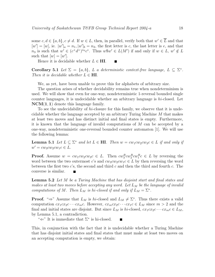some  $c, d \in \{a, b\}, c \neq d$ . If  $w \in L$ , then, in parallel, verify both that  $w' \in \overline{L}$  and that  $[w'] = [w]$ , ie.  $|w'|_a = n_1$ ,  $|w'|_b = n_2$ , the first letter is c, the last letter is e, and that  $n_3$  is such that  $w' \in (c^+d^+)^{n_3}c^*$ . Thus  $w\$  w' \in L(M') if and only if  $w \in L$ ,  $w' \notin L$ such that  $[w] = [w']$ .

Hence it is decidable whether  $L \in H\mathbf{I}$ .

Corollary 5.1 Let  $\Sigma = \{a, b\}$ , L a deterministic context-free language,  $L \subseteq \Sigma^*$ . Then it is decidable whether  $L \in \mathbf{HI}$ .

 $\blacksquare$ 

We, as yet, have been unable to prove this for alphabets of arbitrary size.

The question arises of whether decidability remains true when nondeterminism is used. We will show that even for one-way, nondeterministic 1-reversal bounded single counter languages, it is undecidable whether an arbitrary language is  $hi$ -closed. Let NCM(1, 1) denote this language family.

To see the undecidability of hi-closure for this family, we observe that it is undecidable whether the language accepted by an arbitrary Turing Machine M that makes at least two moves and has distinct initial and final states is empty. Furthermore, it is known that the language of invalid computations of M can be accepted by a one-way, nondeterministic one-reversal bounded counter automaton [1]. We will use the following lemma:

**Lemma 5.1** Let  $L \subseteq \Sigma^*$  and let  $L \in \textbf{HI}$ . Then  $w = cw_1cw_2cw_3c \in L$  if and only if  $w' = c w_3 c w_2 c w_1 c \in L.$ 

**Proof.** Assume  $w = cw_1cw_2cw_3c \in L$ . Then  $cw_3^Rcw_2^Rcw_1^Rc \in L$  by reversing the word between the two outermost c's and  $cw_3cw_2cw_1c \in L$  by then reversing the word between the first two  $c$ 's, the second and third  $c$  and then the third and fourth  $c$ . The converse is similar.

**Lemma 5.2** Let M be a Turing Machine that has disjoint start and final states and makes at least two moves before accepting any word. Let  $L_M$  be the language of invalid computations of M. Then  $L_M$  is hi-closed if and only if  $L_M = \Sigma^*$ .

**Proof.** " $\Rightarrow$ " Assume that  $L_M$  is hi-closed and  $L_M \neq \Sigma^*$ . Thus there exists a valid computation  $cx_1cx_2c \cdots cx_mc$ . However,  $cx_mx_2c \cdots cx_1c \in L_M$  since  $m > 2$  and the final and initial states are disjoint. But since  $L_M$  is hi-closed,  $cx_1cx_2c\cdots cx_m c \in L_M$ , by Lemma 5.1, a contradiction.

" $\Leftarrow$ " It is immediate that  $\Sigma^*$  is hi-closed.

This, in conjunction with the fact that it is undecidable whether a Turing Machine that has disjoint initial states and final states that must make at least two moves on an accepting computation is empty, we obtain: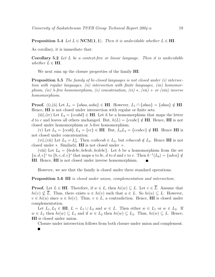**Proposition 5.4** Let  $L \in \text{NCM}(1,1)$ . Then it is undecidable whether  $L \in \text{HL}$ .

As corollary, it is immediate that:

Ē

Corollary 5.2 Let L be a context-free or linear language. Then it is undecidable whether  $L \in \textbf{HI}$ .

We next sum up the closure properties of the family **HI**.

**Proposition 5.5** The family of hi-closed languages is not closed under (i) intersection with regular languages, (ii) intersection with finite languages, (iii) homomorphism, (iv)  $\lambda$ -free homomorphism, (v) concatenation, (vi) \*, (vii) + or (viii) inverse homomorphism.

**Proof.** (i),(ii) Let  $L_1 = \{abaa, aaba\} \in \mathbf{H}$ . However,  $L_1 \cap \{abaa\} = \{abaa\} \notin \mathbf{H}$ . Hence, HI is not closed under intersection with regular or finite sets.

(iii),(iv) Let  $L_2 = \{ccabd\} \in \mathbf{H}\mathbf{I}$ . Let h be a homomorphism that maps the letter d to c and leaves all others unchanged. But,  $h(L) = \{ccabc\} \notin H\mathbf{I}$ . Hence, HI is not closed under homomorphism or  $\lambda$ -free homomorphism.

(v) Let  $L_3 = \{ccab\}, L_4 = \{cc\} \in \mathbf{H}\mathbf{I}$ . But,  $L_3L_4 = \{ccabcc\} \notin \mathbf{H}\mathbf{I}$ . Hence  $\mathbf{H}\mathbf{I}$  is not closed under concatenation.

(vi), (vii) Let  $L_5 = L_3^*$ <sup>\*</sup><sub>3</sub>. Then *ccabccab*  $\in L_5$ , but *ccbaccab*  $\notin L_5$ . Hence **HI** is not closed under  $\ast$ . Similarly, **HI** is not closed under  $+$ .

(viii) Let  $L_6 = \{bcdebc, bcbedc, bedcbc\}$ . Let h be a homomorphism from the set  ${a, d, e}^*$  to  ${b, c, d, e}^*$  that maps a to bc, d to d and e to e. Then  $h^{-1}(L_6) = {adea} \notin$ HI. Hence, HI is not closed under inverse homomorphism.

However, we see that the family is closed under three standard operations.

**Proposition 5.6 HI** is closed under union, complementation and intersection.

**Proof.** Let  $L \in \mathbf{H}$ . Therefore, if  $w \in L$ , then  $hi(w) \subseteq L$ . Let  $v \in \overline{L}$ . Assume that  $hi(v) \nsubseteq L$ . Thus, there exists  $u \in hi(v)$  such that  $u \in L$ . So  $hi(u) \subseteq L$ . However,  $v \in hi(u)$  since  $u \in hi(v)$ . Thus,  $v \in L$ , a contradiction. Hence, **HI** is closed under complementation.

Let  $L_1, L_2 \in \mathbb{H}$ ,  $L = L_1 \cup L_2$  and  $w \in L$ . Then either  $w \in L_1$  or  $w \in L_2$ . If  $w \in L_1$  then  $hi(w) \subseteq L_1$  and if  $w \in L_2$  then  $hi(w) \subseteq L_2$ . Thus,  $hi(w) \subseteq L$ . Hence, HI is closed under union.

Closure under intersection follows from both closure under union and complement.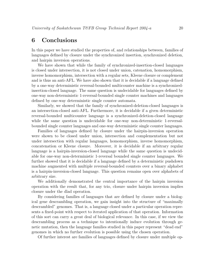#### 6 Conclusions

In this paper we have studied the properties of, and relationships between, families of languages defined by closure under the synchronized insertion, synchronized deletion, and hairpin inversion operations.

We have shown that while the family of synchronized-insertion-closed languages is closed under intersection, it is not closed under union, catenation, homomorphism, inverse homomorphism, intersection with a regular sets, Kleene closure or complement and is thus an anti-AFL. We have also shown that it is decidable if a language defined by a one-way deterministic reversal-bounded multicounter machine is a synchronizedinsertion-closed language. The same question is undecidable for languages defined by one-way non-deterministic 1-reversal-bounded single counter machines and languages defined by one-way deterministic single counter automata.

Similarly, we showed that the family of synchronized-deletion-closed languages is an intersection-closed anti-AFL. Furthermore, it is decidable if a given deterministic reversal-bounded multicounter language is a synchronized-deletion-closed language while the same question is undecidable for one-way non-deterministic 1-reversalbounded single counter languages and one-way deterministic single counter languages.

Families of languages defined by closure under the hairpin-inversion operation were shown to be closed under union, intersection and complementation but not under intersection with regular languages, homomorphism, inverse homomorphism, concatenation or Kleene closure. Moreover, it is decidable if an arbitrary regular language is a hairpin-inversion-closed language while the same question is undecidable for one-way non-deterministic 1-reversal bounded single counter languages. We further showed that it is decidable if a language defined by a deterministic pushdown machine augmented with multiple reversal-bounded counters over a binary alphabet is a hairpin-inversion-closed language. This question remains open over alphabets of arbitrary size.

We additionally demonstrated the central importance of the hairpin inversion operation with the result that, for any trio, closure under hairpin inversion implies closure under the dlad operation.

By considering families of languages that are defined by closure under a biological gene descrambling operation, we gain insight into the structure of "maximally descrambled" genomes. That is, a language closed under a particular operation represents a fixed-point with respect to iterated application of that operation. Information of this sort can carry a great deal of biological relevance. In this case, if we view the descrambling process as a technique to intentionally induce evolution through genetic mutation, then the language families studied in this paper represent "dead end" genomes in which no further evolution is possible using the chosen operation.

Of further interest are families of languages defined by closure under multiple op-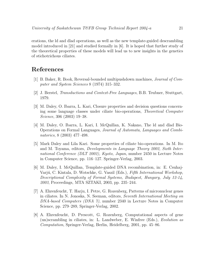erations, the ld and dlad operations, as well as the new template-guided descrambling model introduced in [21] and studied formally in [6]. It is hoped that further study of the theoretical properties of these models will lead us to new insights in the genetics of stichotrichous ciliates.

#### References

- [1] B. Baker, R. Book, Reversal-bounded multipushdown machines, Journal of Computer and System Sciences 8 (1974) 315–332.
- [2] J. Berstel, Transductions and Context-Free Languages, B.B. Teubner, Stuttgart, 1979.
- [3] M. Daley, O. Ibarra, L. Kari, Closure properties and decision questions concerning some language classes under ciliate bio-operations, Theoretical Computer Science, 306 (2003) 19–38.
- [4] M. Daley, O. Ibarra, L. Kari, I. McQuillan, K. Nakano, The ld and dlad Bio-Operations on Formal Languages, Journal of Automata, Languages and Combinatorics, 8 (2003) 477–498.
- [5] Mark Daley and Lila Kari. Some properties of ciliate bio-operations. In M. Ito and M. Toyama, editors, Developments in Language Theory 2002, Sixth International Conference (DLT 2002), Kyoto, Japan, number 2450 in Lecture Notes in Computer Science, pp. 116–127. Springer-Verlag, 2003.
- [6] M. Daley, I. McQuillan, Template-guided DNA recombination, in: E. Csuhaj-Varjú, C. Kintala, D. Wotschke, G. Vaszil (Eds.), Fifth International Workshop, Descriptional Complexity of Formal Systems, Budapest, Hungary, July 12-14, 2003, Proceedings, MTA SZTAKI, 2003, pp. 235–244.
- [7] A. Ehrenfeucht, T. Harju, I. Petre, G. Rozenberg, Patterns of micronuclear genes in ciliates. In N. Jonoska, N. Seeman, editors, Seventh International Meeting on DNA-based Computers (DNA 7), number 2340 in Lecture Notes in Computer Science, pp. 279–289, Springer-Verlag, 2002.
- [8] A. Ehrenfeucht, D. Prescott, G. Rozenberg, Computational aspects of gene (un)scrambling in ciliates, in: L. Landweber, E. Winfree (Eds.), Evolution as Computation, Springer-Verlag, Berlin, Heidelberg, 2001, pp. 45–86.